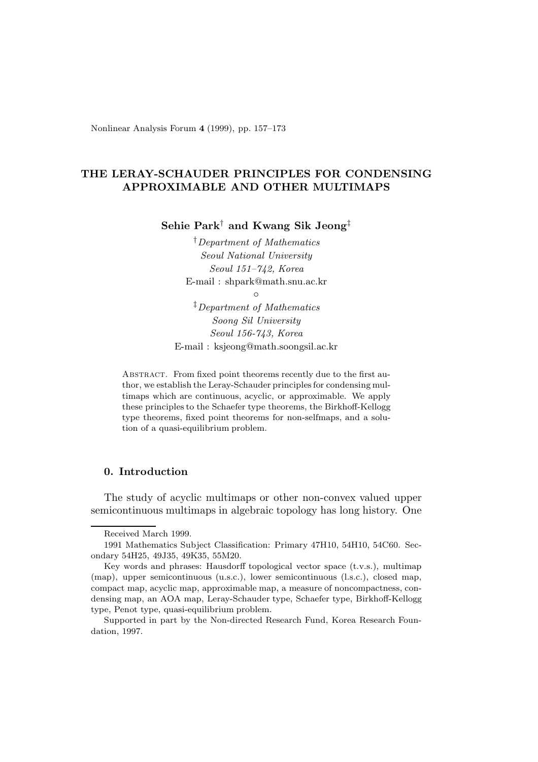Nonlinear Analysis Forum **4** (1999), pp. 157–173

# **THE LERAY-SCHAUDER PRINCIPLES FOR CONDENSING APPROXIMABLE AND OTHER MULTIMAPS**

**Sehie Park**† **and Kwang Sik Jeong**‡

†Department of Mathematics Seoul National University Seoul 151–742, Korea E-mail : shpark@math.snu.ac.kr

 $\circ$ 

‡Department of Mathematics Soong Sil University Seoul 156-743, Korea E-mail : ksjeong@math.soongsil.ac.kr

ABSTRACT. From fixed point theorems recently due to the first author, we establish the Leray-Schauder principles for condensing multimaps which are continuous, acyclic, or approximable. We apply these principles to the Schaefer type theorems, the Birkhoff-Kellogg type theorems, fixed point theorems for non-selfmaps, and a solution of a quasi-equilibrium problem.

# **0. Introduction**

The study of acyclic multimaps or other non-convex valued upper semicontinuous multimaps in algebraic topology has long history. One

Received March 1999.

<sup>1991</sup> Mathematics Subject Classification: Primary 47H10, 54H10, 54C60. Secondary 54H25, 49J35, 49K35, 55M20.

Key words and phrases: Hausdorff topological vector space (t.v.s.), multimap (map), upper semicontinuous (u.s.c.), lower semicontinuous (l.s.c.), closed map, compact map, acyclic map, approximable map, a measure of noncompactness, condensing map, an AOA map, Leray-Schauder type, Schaefer type, Birkhoff-Kellogg type, Penot type, quasi-equilibrium problem.

Supported in part by the Non-directed Research Fund, Korea Research Foundation, 1997.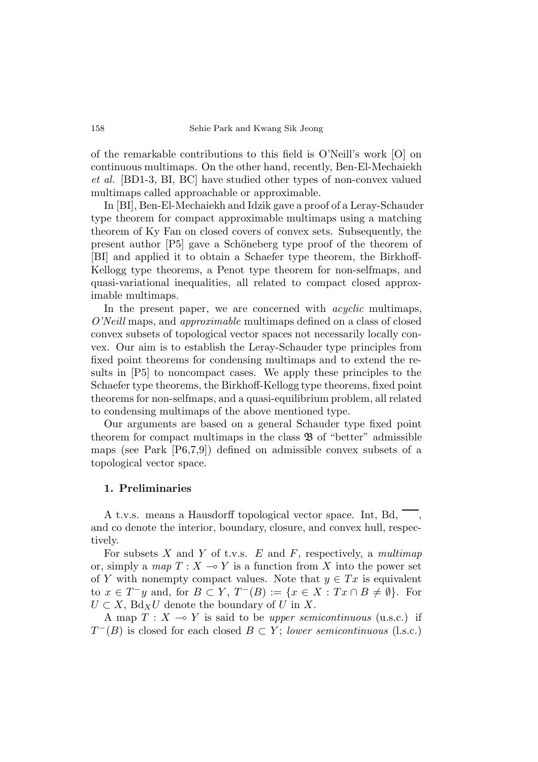of the remarkable contributions to this field is O'Neill's work [O] on continuous multimaps. On the other hand, recently, Ben-El-Mechaiekh *et al.* [BD1-3, BI, BC] have studied other types of non-convex valued multimaps called approachable or approximable.

In [BI], Ben-El-Mechaiekh and Idzik gave a proof of a Leray-Schauder type theorem for compact approximable multimaps using a matching theorem of Ky Fan on closed covers of convex sets. Subsequently, the present author [P5] gave a Schöneberg type proof of the theorem of [BI] and applied it to obtain a Schaefer type theorem, the Birkhoff-Kellogg type theorems, a Penot type theorem for non-selfmaps, and quasi-variational inequalities, all related to compact closed approximable multimaps.

In the present paper, we are concerned with *acyclic* multimaps, *O'Neill* maps, and *approximable* multimaps defined on a class of closed convex subsets of topological vector spaces not necessarily locally convex. Our aim is to establish the Leray-Schauder type principles from fixed point theorems for condensing multimaps and to extend the results in [P5] to noncompact cases. We apply these principles to the Schaefer type theorems, the Birkhoff-Kellogg type theorems, fixed point theorems for non-selfmaps, and a quasi-equilibrium problem, all related to condensing multimaps of the above mentioned type.

Our arguments are based on a general Schauder type fixed point theorem for compact multimaps in the class  $\mathfrak{B}$  of "better" admissible maps (see Park [P6,7,9]) defined on admissible convex subsets of a topological vector space.

### **1. Preliminaries**

A t.v.s. means a Hausdorff topological vector space. Int, Bd, , and co denote the interior, boundary, closure, and convex hull, respectively.

For subsets *X* and *Y* of t.v.s. *E* and *F*, respectively, a *multimap* or, simply a *map*  $T : X \to Y$  is a function from X into the power set of *Y* with nonempty compact values. Note that  $y \in Tx$  is equivalent to  $x \in T^- y$  and, for  $B \subset Y$ ,  $T^-(B) := \{x \in X : Tx \cap B \neq \emptyset\}$ . For  $U \subset X$ , Bd<sub>X</sub>U denote the boundary of U in X.

A map  $T : X \to Y$  is said to be *upper semicontinuous* (u.s.c.) if  $T^{-}(B)$  is closed for each closed  $B \subset Y$ ; *lower semicontinuous* (l.s.c.)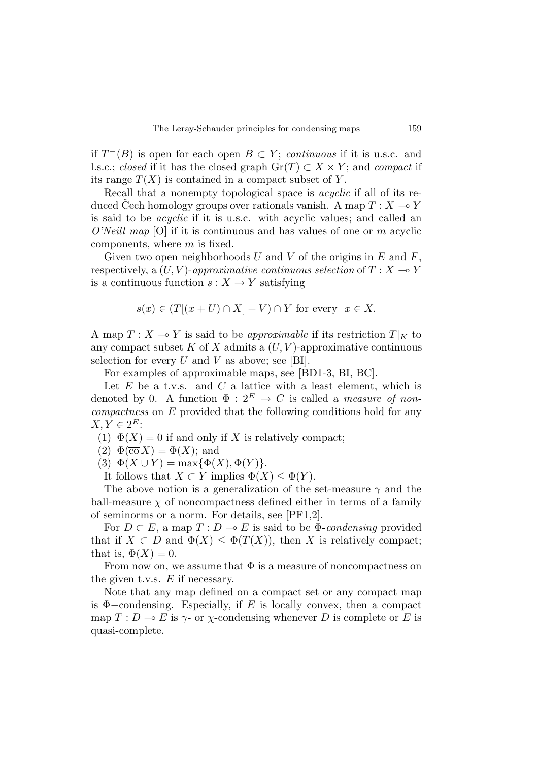if  $T^{-}(B)$  is open for each open  $B \subset Y$ ; *continuous* if it is u.s.c. and l.s.c.; *closed* if it has the closed graph  $\text{Gr}(T) \subset X \times Y$ ; and *compact* if its range  $T(X)$  is contained in a compact subset of Y.

Recall that a nonempty topological space is *acyclic* if all of its reduced Cech homology groups over rationals vanish. A map  $T : X \to Y$ is said to be *acyclic* if it is u.s.c. with acyclic values; and called an *O'Neill map* [O] if it is continuous and has values of one or *m* acyclic components, where *m* is fixed.

Given two open neighborhoods *U* and *V* of the origins in *E* and *F*, respectively, a  $(U, V)$ -approximative continuous selection of  $T : X \to Y$ is a continuous function  $s: X \to Y$  satisfying

$$
s(x) \in (T[(x+U) \cap X] + V) \cap Y
$$
 for every  $x \in X$ .

A map  $T: X \to Y$  is said to be *approximable* if its restriction  $T|_K$  to any compact subset  $K$  of  $X$  admits a  $(U, V)$ -approximative continuous selection for every  $U$  and  $V$  as above; see [BI].

For examples of approximable maps, see [BD1-3, BI, BC].

Let  $E$  be a t.v.s. and  $C$  a lattice with a least element, which is denoted by 0. A function  $\Phi: 2^E \to C$  is called a *measure of noncompactness* on *E* provided that the following conditions hold for any  $X, Y \in 2^E$ :

- (1)  $\Phi(X) = 0$  if and only if X is relatively compact;
- $(2) \Phi(\overline{\text{co}} X) = \Phi(X);$  and
- (3)  $\Phi(X \cup Y) = \max{\{\Phi(X), \Phi(Y)\}}$ .

It follows that  $X \subset Y$  implies  $\Phi(X) \leq \Phi(Y)$ .

The above notion is a generalization of the set-measure *γ* and the ball-measure  $\chi$  of noncompactness defined either in terms of a family of seminorms or a norm. For details, see [PF1,2].

For  $D \subset E$ , a map  $T : D \multimap E$  is said to be  $\Phi$ -*condensing* provided that if  $X \subset D$  and  $\Phi(X) \leq \Phi(T(X))$ , then *X* is relatively compact; that is,  $\Phi(X) = 0$ .

From now on, we assume that  $\Phi$  is a measure of noncompactness on the given t.v.s. *E* if necessary.

Note that any map defined on a compact set or any compact map is Φ−condensing. Especially, if *E* is locally convex, then a compact map  $T: D \to E$  is  $\gamma$ - or  $\chi$ -condensing whenever *D* is complete or *E* is quasi-complete.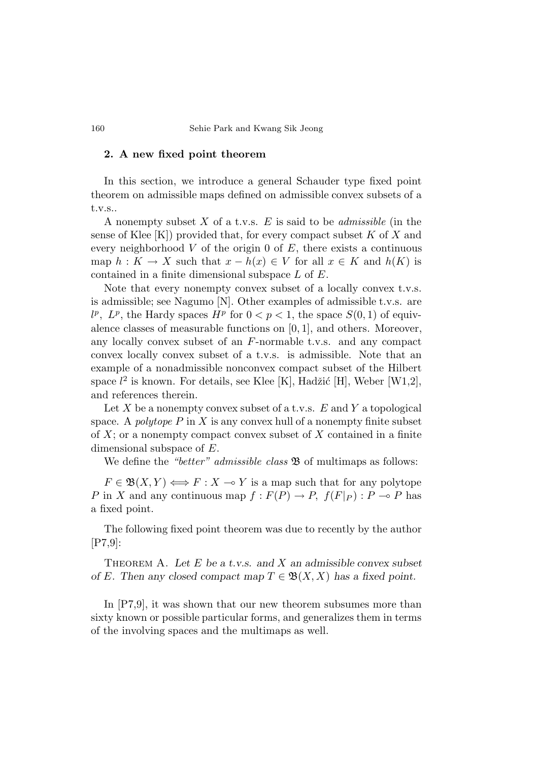## **2. A new fixed point theorem**

In this section, we introduce a general Schauder type fixed point theorem on admissible maps defined on admissible convex subsets of a t.v.s..

A nonempty subset *X* of a t.v.s. *E* is said to be *admissible* (in the sense of Klee [K]) provided that, for every compact subset *K* of *X* and every neighborhood *V* of the origin 0 of *E*, there exists a continuous map  $h: K \to X$  such that  $x - h(x) \in V$  for all  $x \in K$  and  $h(K)$  is contained in a finite dimensional subspace *L* of *E*.

Note that every nonempty convex subset of a locally convex t.v.s. is admissible; see Nagumo [N]. Other examples of admissible t.v.s. are  $l^p$ ,  $L^p$ , the Hardy spaces  $H^p$  for  $0 < p < 1$ , the space  $S(0, 1)$  of equivalence classes of measurable functions on [0*,* 1], and others. Moreover, any locally convex subset of an *F*-normable t.v.s. and any compact convex locally convex subset of a t.v.s. is admissible. Note that an example of a nonadmissible nonconvex compact subset of the Hilbert space  $l^2$  is known. For details, see Klee [K], Hadžić [H], Weber [W1,2], and references therein.

Let *X* be a nonempty convex subset of a t.v.s. *E* and *Y* a topological space. A *polytope*  $P$  in  $X$  is any convex hull of a nonempty finite subset of *X*; or a nonempty compact convex subset of *X* contained in a finite dimensional subspace of *E*.

We define the *"better" admissible class*  $\mathfrak{B}$  of multimaps as follows:

 $F \in \mathfrak{B}(X,Y) \Longleftrightarrow F : X \multimap Y$  is a map such that for any polytope *P* in *X* and any continuous map  $f: F(P) \to P$ ,  $f(F|_P): P \to P$  has a fixed point.

The following fixed point theorem was due to recently by the author [P7,9]:

Theorem A. *Let E be a t.v.s. and X an admissible convex subset of E.* Then any closed compact map  $T \in \mathfrak{B}(X,X)$  *has a fixed point.* 

In [P7,9], it was shown that our new theorem subsumes more than sixty known or possible particular forms, and generalizes them in terms of the involving spaces and the multimaps as well.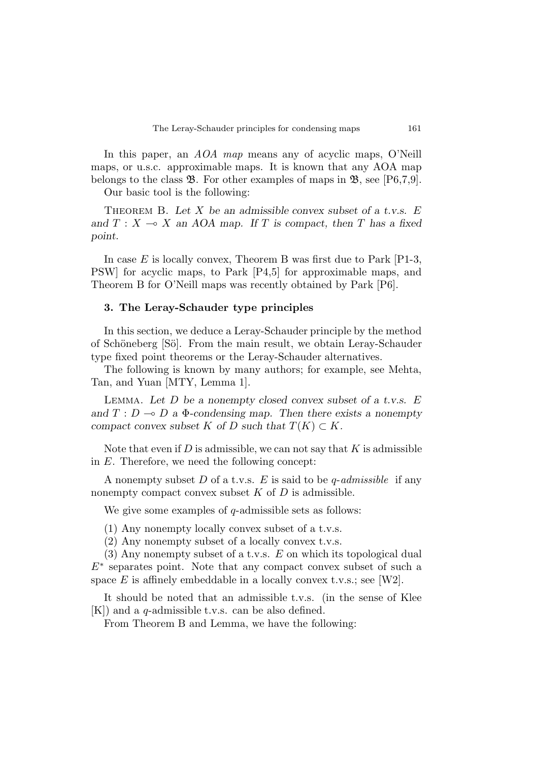In this paper, an *AOA map* means any of acyclic maps, O'Neill maps, or u.s.c. approximable maps. It is known that any AOA map belongs to the class  $\mathfrak{B}$ . For other examples of maps in  $\mathfrak{B}$ , see [P6,7,9].

Our basic tool is the following:

Theorem B. *Let X be an admissible convex subset of a t.v.s. E* and  $T: X \rightarrow X$  an AOA map. If *T* is compact, then *T* has a fixed *point.*

In case *E* is locally convex, Theorem B was first due to Park [P1-3, PSW] for acyclic maps, to Park [P4,5] for approximable maps, and Theorem B for O'Neill maps was recently obtained by Park [P6].

### **3. The Leray-Schauder type principles**

In this section, we deduce a Leray-Schauder principle by the method of Schöneberg [Sö]. From the main result, we obtain Leray-Schauder type fixed point theorems or the Leray-Schauder alternatives.

The following is known by many authors; for example, see Mehta, Tan, and Yuan [MTY, Lemma 1].

Lemma. *Let D be a nonempty closed convex subset of a t.v.s. E* and  $T: D \to D$  a  $\Phi$ -condensing map. Then there exists a nonempty *compact convex subset*  $K$  *of*  $D$  *such that*  $T(K) \subset K$ *.* 

Note that even if *D* is admissible, we can not say that *K* is admissible in *E*. Therefore, we need the following concept:

A nonempty subset *D* of a t.v.s. *E* is said to be *q*-*admissible* if any nonempty compact convex subset *K* of *D* is admissible.

We give some examples of *q*-admissible sets as follows:

(1) Any nonempty locally convex subset of a t.v.s.

(2) Any nonempty subset of a locally convex t.v.s.

(3) Any nonempty subset of a t.v.s. *E* on which its topological dual *E*<sup>∗</sup> separates point. Note that any compact convex subset of such a space *E* is affinely embeddable in a locally convex t.v.s.; see [W2].

It should be noted that an admissible t.v.s. (in the sense of Klee [K]) and a *q*-admissible t.v.s. can be also defined.

From Theorem B and Lemma, we have the following: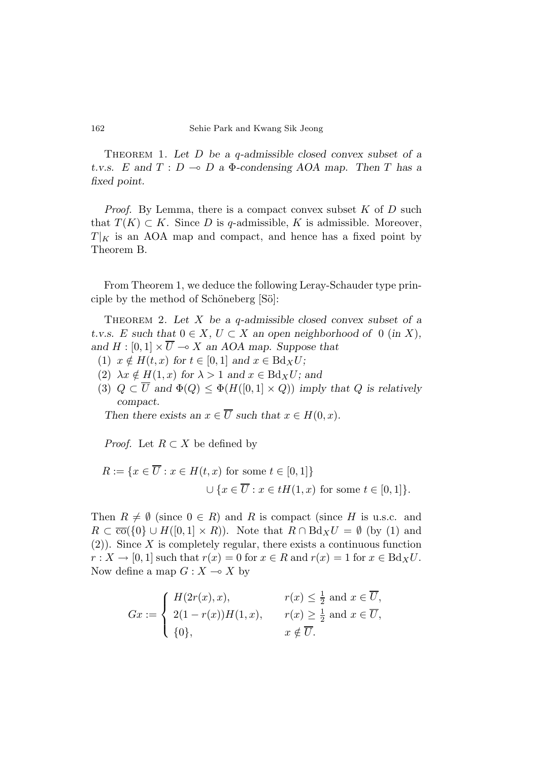Theorem 1. *Let D be a q-admissible closed convex subset of a t.v.s.*  $E$  and  $T: D \to D$  a  $\Phi$ -condensing AOA map. Then  $T$  has a *fixed point.*

*Proof.* By Lemma, there is a compact convex subset *K* of *D* such that  $T(K) \subset K$ . Since *D* is *q*-admissible, *K* is admissible. Moreover,  $T|_K$  is an AOA map and compact, and hence has a fixed point by Theorem B.

From Theorem 1, we deduce the following Leray-Schauder type principle by the method of Schöneberg [Sö]:

Theorem 2. *Let X be a q-admissible closed convex subset of a t.v.s. E* such that  $0 \in X$ ,  $U \subset X$  an open neighborhood of 0 (*in X*), and  $H : [0, 1] \times \overline{U} \longrightarrow X$  an AOA map. Suppose that

- (1)  $x \notin H(t, x)$  for  $t \in [0, 1]$  and  $x \in Bd_XU$ ;
- (2)  $\lambda x \notin H(1, x)$  for  $\lambda > 1$  and  $x \in Bdx$ *U*; and
- (3)  $Q \subset \overline{U}$  and  $\Phi(Q) \leq \Phi(H([0,1] \times Q))$  *imply that*  $Q$  *is relatively compact.*

*Then there exists an*  $x \in \overline{U}$  *such that*  $x \in H(0, x)$ *.* 

*Proof.* Let  $R \subset X$  be defined by

$$
R := \{ x \in \overline{U} : x \in H(t, x) \text{ for some } t \in [0, 1] \}
$$
  

$$
\cup \{ x \in \overline{U} : x \in tH(1, x) \text{ for some } t \in [0, 1] \}.
$$

Then  $R \neq \emptyset$  (since  $0 \in R$ ) and R is compact (since H is u.s.c. and  $R \subset \overline{\text{co}}(\{0\} \cup H([0,1] \times R))$ . Note that  $R \cap \text{Bd}_X U = \emptyset$  (by (1) and (2)). Since *X* is completely regular, there exists a continuous function  $r: X \to [0,1]$  such that  $r(x) = 0$  for  $x \in R$  and  $r(x) = 1$  for  $x \in Bd_XU$ . Now define a map  $G: X \to X$  by

$$
Gx := \begin{cases} H(2r(x), x), & r(x) \leq \frac{1}{2} \text{ and } x \in \overline{U}, \\ 2(1 - r(x))H(1, x), & r(x) \geq \frac{1}{2} \text{ and } x \in \overline{U}, \\ \{0\}, & x \notin \overline{U}. \end{cases}
$$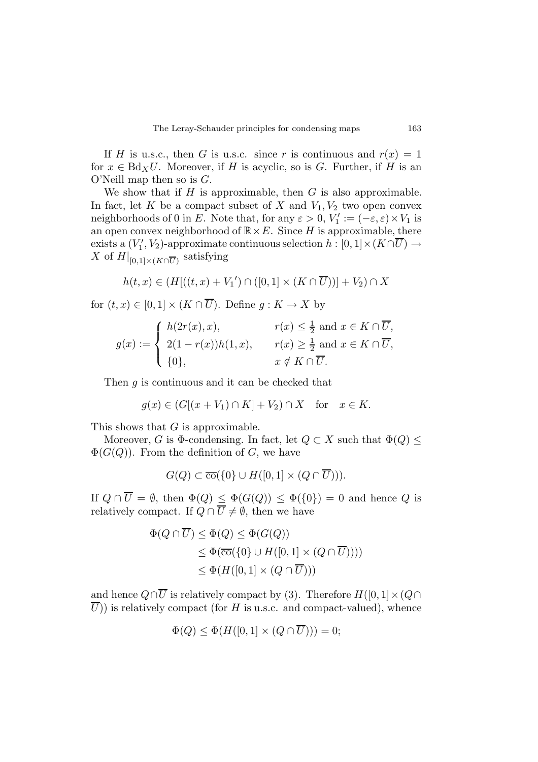If *H* is u.s.c., then *G* is u.s.c. since *r* is continuous and  $r(x)=1$ for  $x \in Bd_XU$ . Moreover, if *H* is acyclic, so is *G*. Further, if *H* is an O'Neill map then so is *G*.

We show that if  $H$  is approximable, then  $G$  is also approximable. In fact, let *K* be a compact subset of *X* and  $V_1, V_2$  two open convex neighborhoods of 0 in *E*. Note that, for any  $\varepsilon > 0$ ,  $V'_1 := (-\varepsilon, \varepsilon) \times V_1$  is an open convex neighborhood of  $\mathbb{R} \times E$ . Since *H* is approximable, there  $\text{exists a } (V_1', V_2) \text{-approximate continuous selection } h : [0,1] \times (K \cap \overline{U}) \rightarrow$ X of  $H|_{[0,1]\times (K\cap\overline{U})}$  satisfying

$$
h(t,x) \in (H[((t,x)+V_1') \cap ([0,1] \times (K \cap \overline{U}))]+V_2) \cap X
$$

for  $(t, x) \in [0, 1] \times (K \cap \overline{U})$ . Define  $q: K \to X$  by

$$
g(x) := \begin{cases} h(2r(x), x), & r(x) \leq \frac{1}{2} \text{ and } x \in K \cap \overline{U}, \\ 2(1 - r(x))h(1, x), & r(x) \geq \frac{1}{2} \text{ and } x \in K \cap \overline{U}, \\ \{0\}, & x \notin K \cap \overline{U}. \end{cases}
$$

Then *g* is continuous and it can be checked that

$$
g(x) \in (G[(x+V_1) \cap K] + V_2) \cap X \quad \text{for} \quad x \in K.
$$

This shows that *G* is approximable.

Moreover, *G* is  $\Phi$ -condensing. In fact, let  $Q \subset X$  such that  $\Phi(Q) \leq$  $\Phi(G(Q))$ . From the definition of *G*, we have

$$
G(Q) \subset \overline{\text{co}}(\{0\} \cup H([0,1] \times (Q \cap \overline{U}))).
$$

If  $Q \cap \overline{U} = \emptyset$ , then  $\Phi(Q) \leq \Phi(G(Q)) \leq \Phi(\{0\}) = 0$  and hence  $Q$  is relatively compact. If  $Q \cap \overline{U} \neq \emptyset$ , then we have

$$
\Phi(Q \cap \overline{U}) \le \Phi(Q) \le \Phi(G(Q))
$$
  
\n
$$
\le \Phi(\overline{co}(\{0\} \cup H([0,1] \times (Q \cap \overline{U}))))
$$
  
\n
$$
\le \Phi(H([0,1] \times (Q \cap \overline{U})))
$$

and hence  $Q \cap \overline{U}$  is relatively compact by (3). Therefore  $H([0,1] \times (Q \cap$  $\overline{U}$ )) is relatively compact (for *H* is u.s.c. and compact-valued), whence

$$
\Phi(Q) \le \Phi(H([0,1] \times (Q \cap \overline{U}))) = 0;
$$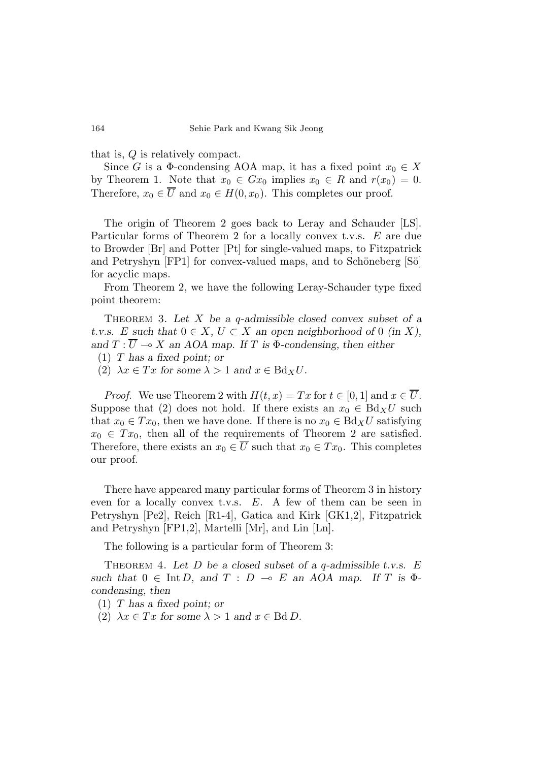that is, *Q* is relatively compact.

Since *G* is a  $\Phi$ -condensing AOA map, it has a fixed point  $x_0 \in X$ by Theorem 1. Note that  $x_0 \in Gx_0$  implies  $x_0 \in R$  and  $r(x_0) = 0$ . Therefore,  $x_0 \in \overline{U}$  and  $x_0 \in H(0, x_0)$ . This completes our proof.

The origin of Theorem 2 goes back to Leray and Schauder [LS]. Particular forms of Theorem 2 for a locally convex t.v.s. *E* are due to Browder [Br] and Potter [Pt] for single-valued maps, to Fitzpatrick and Petryshyn [FP1] for convex-valued maps, and to Schöneberg [Sö] for acyclic maps.

From Theorem 2, we have the following Leray-Schauder type fixed point theorem:

Theorem 3. *Let X be a q-admissible closed convex subset of a t.v.s. E* such that  $0 \in X$ ,  $U \subset X$  an open neighborhood of 0 (in X), *and*  $T: \overline{U} \to X$  *an AOA map.* If *T* is  $\Phi$ -condensing, then either

(1) *T has a fixed point; or*

(2)  $\lambda x \in Tx$  for some  $\lambda > 1$  and  $x \in Bd_XU$ .

*Proof.* We use Theorem 2 with  $H(t, x) = Tx$  for  $t \in [0, 1]$  and  $x \in \overline{U}$ . Suppose that (2) does not hold. If there exists an  $x_0 \in Bd_XU$  such that  $x_0 \in Tx_0$ , then we have done. If there is no  $x_0 \in Bd_XU$  satisfying  $x_0 \in Tx_0$ , then all of the requirements of Theorem 2 are satisfied. Therefore, there exists an  $x_0 \in \overline{U}$  such that  $x_0 \in Tx_0$ . This completes our proof.

There have appeared many particular forms of Theorem 3 in history even for a locally convex t.v.s. *E*. A few of them can be seen in Petryshyn [Pe2], Reich [R1-4], Gatica and Kirk [GK1,2], Fitzpatrick and Petryshyn [FP1,2], Martelli [Mr], and Lin [Ln].

The following is a particular form of Theorem 3:

Theorem 4. *Let D be a closed subset of a q-admissible t.v.s. E such that*  $0 \in \text{Int } D$ , and  $T : D \multimap E$  an AOA map. If  $T$  is  $\Phi$ *condensing, then*

(1) *T has a fixed point; or*

(2)  $\lambda x \in Tx$  for some  $\lambda > 1$  and  $x \in \text{Bd} D$ .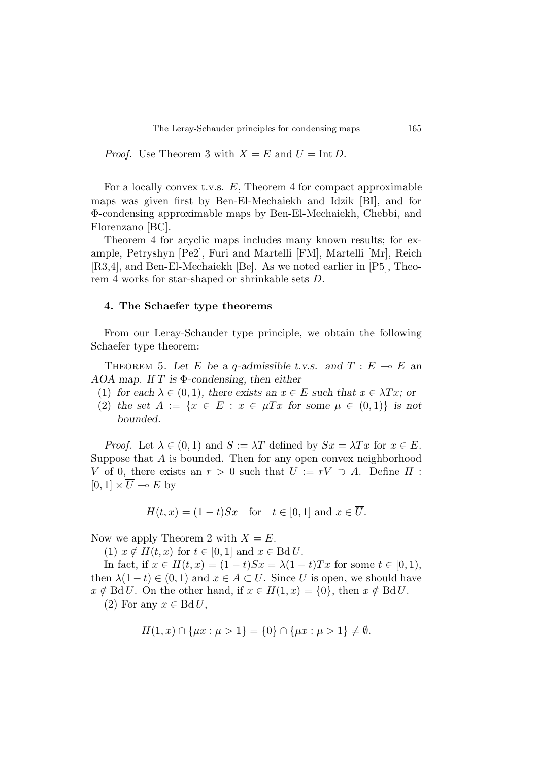*Proof.* Use Theorem 3 with  $X = E$  and  $U = \text{Int } D$ .

For a locally convex t.v.s. *E*, Theorem 4 for compact approximable maps was given first by Ben-El-Mechaiekh and Idzik [BI], and for Φ-condensing approximable maps by Ben-El-Mechaiekh, Chebbi, and Florenzano [BC].

Theorem 4 for acyclic maps includes many known results; for example, Petryshyn [Pe2], Furi and Martelli [FM], Martelli [Mr], Reich [R3,4], and Ben-El-Mechaiekh [Be]. As we noted earlier in [P5], Theorem 4 works for star-shaped or shrinkable sets *D*.

#### **4. The Schaefer type theorems**

From our Leray-Schauder type principle, we obtain the following Schaefer type theorem:

THEOREM 5. Let *E* be a *q*-admissible t.v.s. and  $T : E \multimap E$  and *AOA map. If T is* Φ*-condensing, then either*

- (1) *for each*  $\lambda \in (0,1)$ *, there exists an*  $x \in E$  *such that*  $x \in \lambda Tx$ *; or*
- (2) the set  $A := \{x \in E : x \in \mu Tx \text{ for some } \mu \in (0,1)\}\$ is not *bounded.*

*Proof.* Let  $\lambda \in (0,1)$  and  $S := \lambda T$  defined by  $Sx = \lambda Tx$  for  $x \in E$ . Suppose that *A* is bounded. Then for any open convex neighborhood *V* of 0, there exists an  $r > 0$  such that  $U := rV \supset A$ . Define *H* :  $[0,1] \times \overline{U} \multimap E$  by

$$
H(t, x) = (1 - t)Sx \quad \text{for} \quad t \in [0, 1] \text{ and } x \in \overline{U}.
$$

Now we apply Theorem 2 with  $X = E$ .

 $(1)$   $x \notin H(t, x)$  for  $t \in [0, 1]$  and  $x \in \text{Bd } U$ .

In fact, if *x* ∈ *H*(*t*, *x*) = (1 − *t*)*Sx* =  $λ(1 − t)Tx$  for some *t* ∈ [0, 1), then  $\lambda(1-t) \in (0,1)$  and  $x \in A \subset U$ . Since *U* is open, we should have  $x \notin \text{Bd } U$ . On the other hand, if  $x \in H(1, x) = \{0\}$ , then  $x \notin \text{Bd } U$ . (2) For any  $x \in \text{Bd} U$ ,

$$
H(1, x) \cap \{\mu x : \mu > 1\} = \{0\} \cap \{\mu x : \mu > 1\} \neq \emptyset.
$$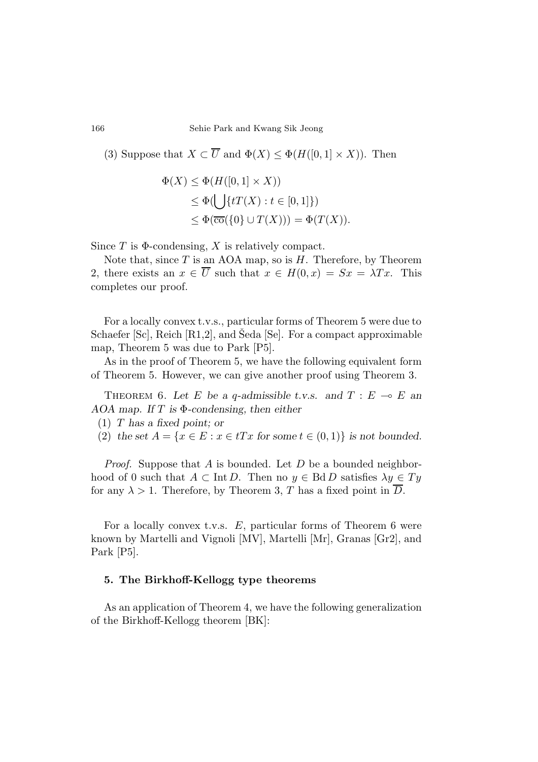(3) Suppose that  $X \subset \overline{U}$  and  $\Phi(X) \leq \Phi(H([0,1] \times X))$ . Then

$$
\Phi(X) \leq \Phi(H([0,1] \times X))
$$
  
\n
$$
\leq \Phi(\bigcup \{tT(X) : t \in [0,1]\})
$$
  
\n
$$
\leq \Phi(\overline{\text{co}}(\{0\} \cup T(X))) = \Phi(T(X)).
$$

Since *T* is Φ-condensing, *X* is relatively compact.

Note that, since *T* is an AOA map, so is *H*. Therefore, by Theorem 2, there exists an  $x \in \overline{U}$  such that  $x \in H(0, x) = Sx = \lambda Tx$ . This completes our proof.

For a locally convex t.v.s., particular forms of Theorem 5 were due to Schaefer [Sc], Reich [R1,2], and Seda [Se]. For a compact approximable map, Theorem 5 was due to Park [P5].

As in the proof of Theorem 5, we have the following equivalent form of Theorem 5. However, we can give another proof using Theorem 3.

THEOREM 6. Let E be a *q*-admissible t.v.s. and  $T : E \multimap E$  and *AOA map. If T is* Φ*-condensing, then either*

- (1) *T has a fixed point; or*
- (2) *the set*  $A = \{x \in E : x \in tTx \text{ for some } t \in (0,1)\}$  *is not bounded.*

*Proof.* Suppose that *A* is bounded. Let *D* be a bounded neighborhood of 0 such that  $A \subset \text{Int } D$ . Then no  $y \in \text{Bd } D$  satisfies  $\lambda y \in Ty$ for any  $\lambda > 1$ . Therefore, by Theorem 3, T has a fixed point in  $\overline{D}$ .

For a locally convex t.v.s. *E*, particular forms of Theorem 6 were known by Martelli and Vignoli [MV], Martelli [Mr], Granas [Gr2], and Park [P5].

## **5. The Birkhoff-Kellogg type theorems**

As an application of Theorem 4, we have the following generalization of the Birkhoff-Kellogg theorem [BK]: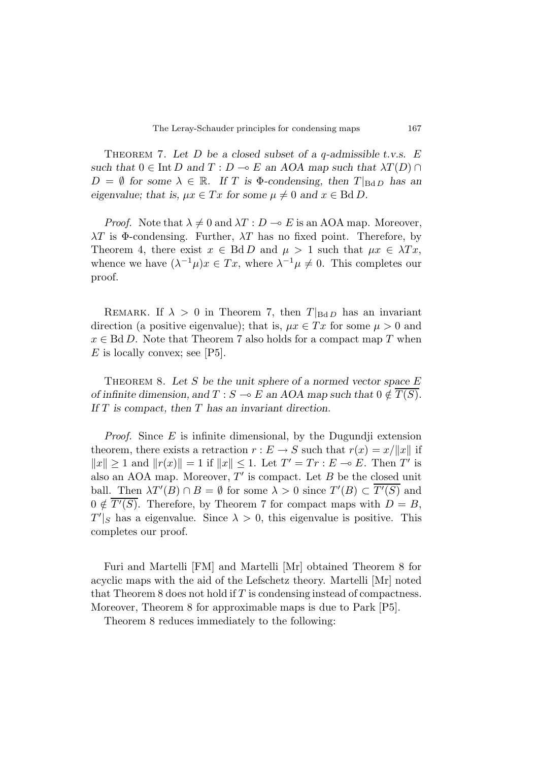Theorem 7. *Let D be a closed subset of a q-admissible t.v.s. E such that*  $0 \in \text{Int } D$  *and*  $T : D \multimap E$  *an AOA map such that*  $\lambda T(D) \cap D$  $D = \emptyset$  for some  $\lambda \in \mathbb{R}$ . If *T* is  $\Phi$ -condensing, then  $T|_{\text{Bd}D}$  has an *eigenvalue; that is,*  $\mu x \in Tx$  *for some*  $\mu \neq 0$  *and*  $x \in \text{Bd } D$ *.* 

*Proof.* Note that  $\lambda \neq 0$  and  $\lambda T : D \multimap E$  is an AOA map. Moreover, *λT* is Φ-condensing. Further, *λT* has no fixed point. Therefore, by Theorem 4, there exist  $x \in \text{Bd} D$  and  $\mu > 1$  such that  $\mu x \in \lambda Tx$ , whence we have  $(\lambda^{-1}\mu)x \in Tx$ , where  $\lambda^{-1}\mu \neq 0$ . This completes our proof.

REMARK. If  $\lambda > 0$  in Theorem 7, then  $T|_{BdD}$  has an invariant direction (a positive eigenvalue); that is,  $\mu x \in Tx$  for some  $\mu > 0$  and  $x \in \text{Bd} D$ . Note that Theorem 7 also holds for a compact map *T* when *E* is locally convex; see [P5].

THEOREM 8. Let S be the unit sphere of a normed vector space E *of infinite dimension, and*  $T : S \to E$  *an AOA map such that*  $0 \notin \overline{T(S)}$ . *If T is compact, then T has an invariant direction.*

*Proof.* Since *E* is infinite dimensional, by the Dugundji extension theorem, there exists a retraction  $r : E \to S$  such that  $r(x) = x/||x||$  if  $||x|| > 1$  and  $||r(x)|| = 1$  if  $||x|| < 1$ . Let  $T' = Tr : E \multimap E$ . Then *T'* is also an AOA map. Moreover,  $T'$  is compact. Let  $B$  be the closed unit ball. Then  $\lambda T'(B) \cap B = \emptyset$  for some  $\lambda > 0$  since  $T'(B) \subset \overline{T'(S)}$  and  $0 \notin \overline{T'(S)}$ . Therefore, by Theorem 7 for compact maps with  $D = B$ ,  $T'|_S$  has a eigenvalue. Since  $\lambda > 0$ , this eigenvalue is positive. This completes our proof.

Furi and Martelli [FM] and Martelli [Mr] obtained Theorem 8 for acyclic maps with the aid of the Lefschetz theory. Martelli [Mr] noted that Theorem 8 does not hold if *T* is condensing instead of compactness. Moreover, Theorem 8 for approximable maps is due to Park [P5].

Theorem 8 reduces immediately to the following: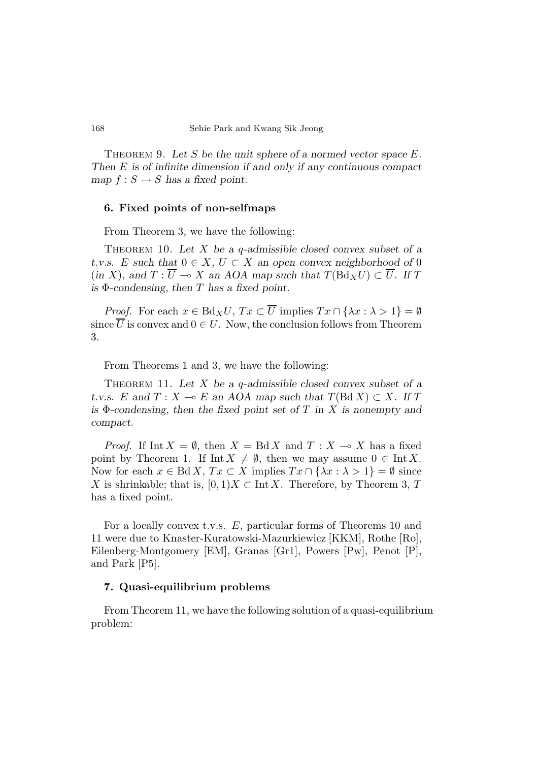Theorem 9. *Let S be the unit sphere of a normed vector space E. Then E is of infinite dimension if and only if any continuous compact map*  $f: S \to S$  *has a fixed point.* 

#### **6. Fixed points of non-selfmaps**

From Theorem 3, we have the following:

Theorem 10. *Let X be a q-admissible closed convex subset of a t.v.s. E* such that  $0 \in X$ ,  $U \subset X$  an open convex neighborhood of 0  $(m X)$ , and  $T : \overline{U} \multimap X$  an AOA map such that  $T(Bd_XU) \subset \overline{U}$ . If T *is* Φ*-condensing, then T has a fixed point.*

*Proof.* For each  $x \in Bd_XU$ ,  $Tx \subset \overline{U}$  implies  $Tx \cap {\lambda x : \lambda > 1} = \emptyset$ since  $\overline{U}$  is convex and  $0 \in U$ . Now, the conclusion follows from Theorem 3.

From Theorems 1 and 3, we have the following:

Theorem 11. *Let X be a q-admissible closed convex subset of a t.v.s.*  $E$  and  $T: X \to E$  an AOA map such that  $T(BdX) \subset X$ . If  $T$ *is* Φ*-condensing, then the fixed point set of T in X is nonempty and compact.*

*Proof.* If Int  $X = \emptyset$ , then  $X = \text{Bd } X$  and  $T : X \to X$  has a fixed point by Theorem 1. If Int  $X \neq \emptyset$ , then we may assume  $0 \in \text{Int } X$ . Now for each  $x \in \text{Bd } X$ ,  $Tx \subset X$  implies  $Tx \cap {\lambda x : \lambda > 1} = \emptyset$  since *X* is shrinkable; that is,  $[0,1)X \subset \text{Int } X$ . Therefore, by Theorem 3, *T* has a fixed point.

For a locally convex t.v.s. *E*, particular forms of Theorems 10 and 11 were due to Knaster-Kuratowski-Mazurkiewicz [KKM], Rothe [Ro], Eilenberg-Montgomery [EM], Granas [Gr1], Powers [Pw], Penot [P], and Park [P5].

#### **7. Quasi-equilibrium problems**

From Theorem 11, we have the following solution of a quasi-equilibrium problem: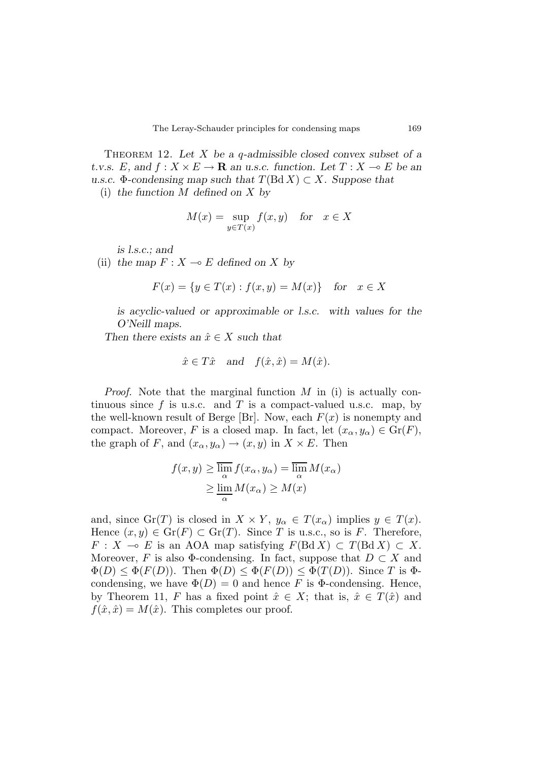Theorem 12. *Let X be a q-admissible closed convex subset of a t.v.s. E*, and  $f: X \times E \to \mathbf{R}$  *an u.s.c. function.* Let  $T: X \to E$  *be an u.s.c.* Φ-condensing map such that  $T(BdX)$  ⊂ *X.* Suppose that

(i) *the function M defined on X by*

$$
M(x) = \sup_{y \in T(x)} f(x, y) \quad \text{for} \quad x \in X
$$

*is l.s.c.; and*

(ii) the map  $F: X \to E$  defined on X by

$$
F(x) = \{ y \in T(x) : f(x, y) = M(x) \} \text{ for } x \in X
$$

*is acyclic-valued or approximable or l.s.c. with values for the O'Neill maps.*

*Then there exists an*  $\hat{x} \in X$  *such that* 

$$
\hat{x} \in T\hat{x}
$$
 and  $f(\hat{x}, \hat{x}) = M(\hat{x})$ .

*Proof.* Note that the marginal function *M* in (i) is actually continuous since  $f$  is u.s.c. and  $T$  is a compact-valued u.s.c. map, by the well-known result of Berge [Br]. Now, each  $F(x)$  is nonempty and compact. Moreover, *F* is a closed map. In fact, let  $(x_{\alpha}, y_{\alpha}) \in \text{Gr}(F)$ , the graph of *F*, and  $(x_{\alpha}, y_{\alpha}) \rightarrow (x, y)$  in  $X \times E$ . Then

$$
f(x, y) \ge \overline{\lim_{\alpha}} f(x_{\alpha}, y_{\alpha}) = \overline{\lim_{\alpha}} M(x_{\alpha})
$$

$$
\ge \underline{\lim_{\alpha}} M(x_{\alpha}) \ge M(x)
$$

and, since  $\text{Gr}(T)$  is closed in  $X \times Y$ ,  $y_\alpha \in T(x_\alpha)$  implies  $y \in T(x)$ . Hence  $(x, y) \in \text{Gr}(F) \subset \text{Gr}(T)$ . Since *T* is u.s.c., so is *F*. Therefore,  $F: X \to E$  is an AOA map satisfying  $F(\text{Bd } X) \subset T(\text{Bd } X) \subset X$ . Moreover, *F* is also  $\Phi$ -condensing. In fact, suppose that  $D \subset X$  and  $\Phi(D) \leq \Phi(F(D))$ . Then  $\Phi(D) \leq \Phi(F(D)) \leq \Phi(T(D))$ . Since *T* is  $\Phi$ condensing, we have  $\Phi(D) = 0$  and hence *F* is  $\Phi$ -condensing. Hence, by Theorem 11, *F* has a fixed point  $\hat{x} \in X$ ; that is,  $\hat{x} \in T(\hat{x})$  and  $f(\hat{x}, \hat{x}) = M(\hat{x})$ . This completes our proof.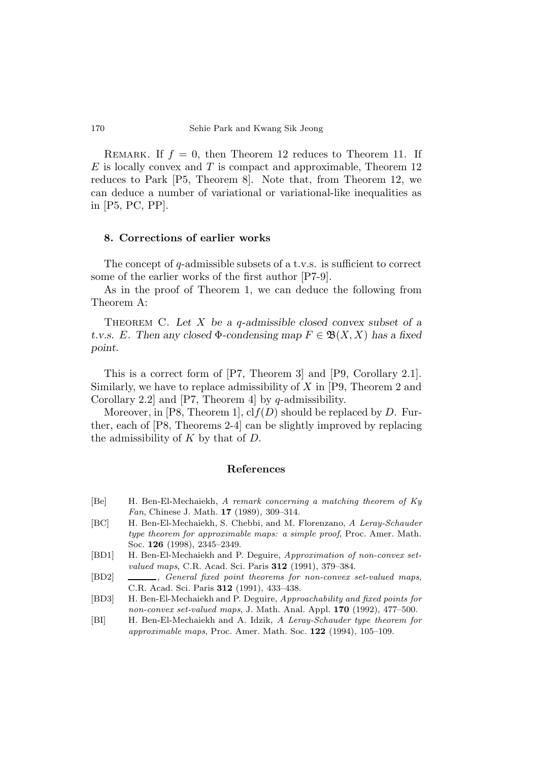REMARK. If  $f = 0$ , then Theorem 12 reduces to Theorem 11. If *E* is locally convex and *T* is compact and approximable, Theorem 12 reduces to Park [P5, Theorem 8]. Note that, from Theorem 12, we can deduce a number of variational or variational-like inequalities as in [P5, PC, PP].

#### **8. Corrections of earlier works**

The concept of *q*-admissible subsets of a t.v.s. is sufficient to correct some of the earlier works of the first author [P7-9].

As in the proof of Theorem 1, we can deduce the following from Theorem A:

Theorem C. *Let X be a q-admissible closed convex subset of a t.v.s. E.* Then any closed  $\Phi$ *-condensing map*  $F \in \mathfrak{B}(X,X)$  *has a fixed point.*

This is a correct form of [P7, Theorem 3] and [P9, Corollary 2.1]. Similarly, we have to replace admissibility of *X* in [P9, Theorem 2 and Corollary 2.2] and [P7, Theorem 4] by *q*-admissibility.

Moreover, in [P8, Theorem 1], cl*f*(*D*) should be replaced by *D*. Further, each of [P8, Theorems 2-4] can be slightly improved by replacing the admissibility of *K* by that of *D*.

#### **References**

- [Be] H. Ben-El-Mechaiekh, *A remark concerning a matching theorem of Ky Fan*, Chinese J. Math. **17** (1989), 309–314.
- [BC] H. Ben-El-Mechaiekh, S. Chebbi, and M. Florenzano, *A Leray-Schauder type theorem for approximable maps: a simple proof*, Proc. Amer. Math. Soc. **126** (1998), 2345–2349.
- [BD1] H. Ben-El-Mechaiekh and P. Deguire, *Approximation of non-convex setvalued maps*, C.R. Acad. Sci. Paris **312** (1991), 379–384.
- [BD2] , *General fixed point theorems for non-convex set-valued maps*, C.R. Acad. Sci. Paris **312** (1991), 433–438.
- [BD3] H. Ben-El-Mechaiekh and P. Deguire, *Approachability and fixed points for non-convex set-valued maps*, J. Math. Anal. Appl. **170** (1992), 477–500.
- [BI] H. Ben-El-Mechaiekh and A. Idzik, *A Leray-Schauder type theorem for approximable maps*, Proc. Amer. Math. Soc. **122** (1994), 105–109.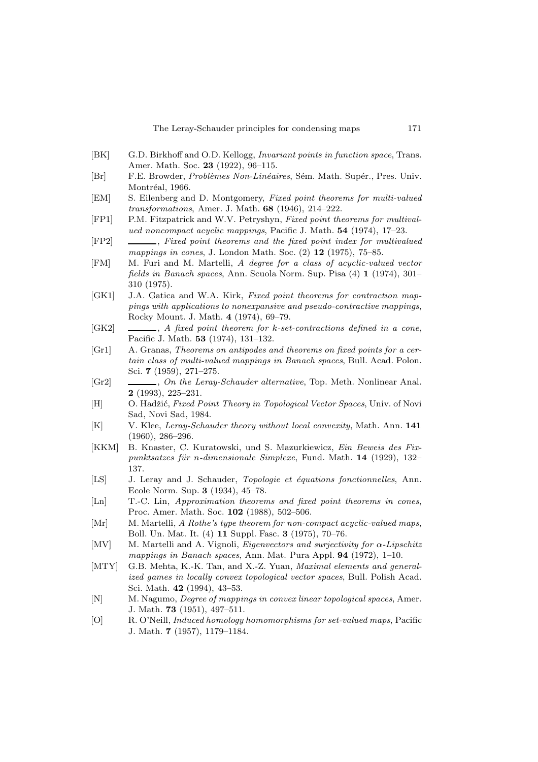- [BK] G.D. Birkhoff and O.D. Kellogg, *Invariant points in function space*, Trans. Amer. Math. Soc. **23** (1922), 96–115.
- [Br] F.E. Browder, *Problèmes Non-Linéaires*, Sém. Math. Supér., Pres. Univ. Montréal, 1966.
- [EM] S. Eilenberg and D. Montgomery, *Fixed point theorems for multi-valued transformations*, Amer. J. Math. **68** (1946), 214–222.
- [FP1] P.M. Fitzpatrick and W.V. Petryshyn, *Fixed point theorems for multivalued noncompact acyclic mappings*, Pacific J. Math. **54** (1974), 17–23.
- [FP2] , *Fixed point theorems and the fixed point index for multivalued mappings in cones*, J. London Math. Soc. (2) **12** (1975), 75–85.
- [FM] M. Furi and M. Martelli, *A degree for a class of acyclic-valued vector fields in Banach spaces*, Ann. Scuola Norm. Sup. Pisa (4) **1** (1974), 301– 310 (1975).
- [GK1] J.A. Gatica and W.A. Kirk, *Fixed point theorems for contraction mappings with applications to nonexpansive and pseudo-contractive mappings*, Rocky Mount. J. Math. **4** (1974), 69–79.
- [GK2] , *A fixed point theorem for* k*-set-contractions defined in a cone*, Pacific J. Math. **53** (1974), 131–132.
- [Gr1] A. Granas, *Theorems on antipodes and theorems on fixed points for a certain class of multi-valued mappings in Banach spaces*, Bull. Acad. Polon. Sci. **7** (1959), 271–275.
- [Gr2] , *On the Leray-Schauder alternative*, Top. Meth. Nonlinear Anal. **2** (1993), 225–231.
- [H] O. Hadˇzi´c, *Fixed Point Theory in Topological Vector Spaces*, Univ. of Novi Sad, Novi Sad, 1984.
- [K] V. Klee, *Leray-Schauder theory without local convexity*, Math. Ann. **141** (1960), 286–296.
- [KKM] B. Knaster, C. Kuratowski, und S. Mazurkiewicz, *Ein Beweis des Fixpunktsatzes f¨ur* n*-dimensionale Simplexe*, Fund. Math. **14** (1929), 132– 137.
- [LS] J. Leray and J. Schauder, *Topologie et ´equations fonctionnelles*, Ann. Ecole Norm. Sup. **3** (1934), 45–78.
- [Ln] T.-C. Lin, *Approximation theorems and fixed point theorems in cones*, Proc. Amer. Math. Soc. **102** (1988), 502–506.
- [Mr] M. Martelli, *A Rothe's type theorem for non-compact acyclic-valued maps*, Boll. Un. Mat. It. (4) **11** Suppl. Fasc. **3** (1975), 70–76.
- [MV] M. Martelli and A. Vignoli, *Eigenvectors and surjectivity for* α*-Lipschitz mappings in Banach spaces*, Ann. Mat. Pura Appl. **94** (1972), 1–10.
- [MTY] G.B. Mehta, K.-K. Tan, and X.-Z. Yuan, *Maximal elements and generalized games in locally convex topological vector spaces*, Bull. Polish Acad. Sci. Math. **42** (1994), 43–53.
- [N] M. Nagumo, *Degree of mappings in convex linear topological spaces*, Amer. J. Math. **73** (1951), 497–511.
- [O] R. O'Neill, *Induced homology homomorphisms for set-valued maps*, Pacific J. Math. **7** (1957), 1179–1184.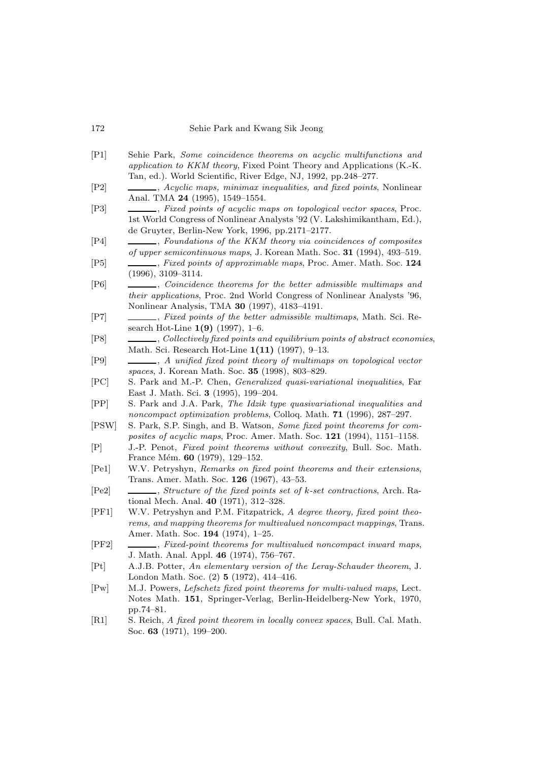#### 172 Sehie Park and Kwang Sik Jeong

- [P1] Sehie Park, *Some coincidence theorems on acyclic multifunctions and application to KKM theory*, Fixed Point Theory and Applications (K.-K. Tan, ed.). World Scientific, River Edge, NJ, 1992, pp.248–277.
- [P2] , *Acyclic maps, minimax inequalities, and fixed points*, Nonlinear Anal. TMA **24** (1995), 1549–1554.
- [P3] , *Fixed points of acyclic maps on topological vector spaces*, Proc. 1st World Congress of Nonlinear Analysts '92 (V. Lakshimikantham, Ed.), de Gruyter, Berlin-New York, 1996, pp.2171–2177.
- [P4] , *Foundations of the KKM theory via coincidences of composites of upper semicontinuous maps*, J. Korean Math. Soc. **31** (1994), 493–519.
- [P5] , *Fixed points of approximable maps*, Proc. Amer. Math. Soc. **124** (1996), 3109–3114.
- [P6] , *Coincidence theorems for the better admissible multimaps and their applications*, Proc. 2nd World Congress of Nonlinear Analysts '96, Nonlinear Analysis, TMA **30** (1997), 4183–4191.
- [P7] , *Fixed points of the better admissible multimaps*, Math. Sci. Research Hot-Line **1(9)** (1997), 1–6.
- [P8] , *Collectively fixed points and equilibrium points of abstract economies*, Math. Sci. Research Hot-Line **1(11)** (1997), 9–13.
- [P9] , *A unified fixed point theory of multimaps on topological vector spaces*, J. Korean Math. Soc. **35** (1998), 803–829.
- [PC] S. Park and M.-P. Chen, *Generalized quasi-variational inequalities*, Far East J. Math. Sci. **3** (1995), 199–204.
- [PP] S. Park and J.A. Park, *The Idzik type quasivariational inequalities and noncompact optimization problems*, Colloq. Math. **71** (1996), 287–297.
- [PSW] S. Park, S.P. Singh, and B. Watson, *Some fixed point theorems for composites of acyclic maps*, Proc. Amer. Math. Soc. **121** (1994), 1151–1158.
- [P] J.-P. Penot, *Fixed point theorems without convexity*, Bull. Soc. Math. France Mém. **60** (1979), 129-152.
- [Pe1] W.V. Petryshyn, *Remarks on fixed point theorems and their extensions*, Trans. Amer. Math. Soc. **126** (1967), 43–53.
- [Pe2] , *Structure of the fixed points set of* k*-set contractions*, Arch. Rational Mech. Anal. **40** (1971), 312–328.
- [PF1] W.V. Petryshyn and P.M. Fitzpatrick, *A degree theory, fixed point theorems, and mapping theorems for multivalued noncompact mappings*, Trans. Amer. Math. Soc. **194** (1974), 1–25.
- [PF2] , *Fixed-point theorems for multivalued noncompact inward maps*, J. Math. Anal. Appl. **46** (1974), 756–767.
- [Pt] A.J.B. Potter, *An elementary version of the Leray-Schauder theorem*, J. London Math. Soc. (2) **5** (1972), 414–416.
- [Pw] M.J. Powers, *Lefschetz fixed point theorems for multi-valued maps*, Lect. Notes Math. **151**, Springer-Verlag, Berlin-Heidelberg-New York, 1970, pp.74–81.
- [R1] S. Reich, *A fixed point theorem in locally convex spaces*, Bull. Cal. Math. Soc. **63** (1971), 199–200.